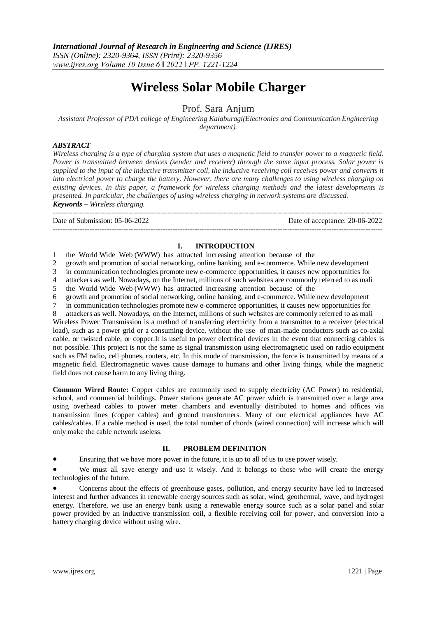# **Wireless Solar Mobile Charger**

Prof. Sara Anjum

*Assistant Professor of PDA college of Engineering Kalaburagi(Electronics and Communication Engineering department).*

### *ABSTRACT*

---------------------------------------------------------------------------------------------------------------------------------------

*Wireless charging is a type of charging system that uses a magnetic field to transfer power to a magnetic field. Power is transmitted between devices (sender and receiver) through the same input process. Solar power is supplied to the input of the inductive transmitter coil, the inductive receiving coil receives power and converts it into electrical power to charge the battery. However, there are many challenges to using wireless charging on existing devices. In this paper, a framework for wireless charging methods and the latest developments is presented. In particular, the challenges of using wireless charging in network systems are discussed. Keywords – Wireless charging.*

--------------------------------------------------------------------------------------------------------------------------------------- Date of Submission: 05-06-2022 Date of acceptance: 20-06-2022

## **I. INTRODUCTION**

1 the World Wide Web (WWW) has attracted increasing attention because of the

2 growth and promotion of social networking, online banking, and e-commerce. While new development

3 in communication technologies promote new e-commerce opportunities, it causes new opportunities for

4 attackers as well. Nowadays, on the Internet, millions of such websites are commonly referred to as mali

5 the World Wide Web (WWW) has attracted increasing attention because of the

6 growth and promotion of social networking, online banking, and e-commerce. While new development

7 in communication technologies promote new e-commerce opportunities, it causes new opportunities for

8 attackers as well. Nowadays, on the Internet, millions of such websites are commonly referred to as mali

Wireless Power Transmission is a method of transferring electricity from a transmitter to a receiver (electrical load), such as a power grid or a consuming device, without the use of man-made conductors such as co-axial cable, or twisted cable, or copper.It is useful to power electrical devices in the event that connecting cables is not possible. This project is not the same as signal transmission using electromagnetic used on radio equipment such as FM radio, cell phones, routers, etc. In this mode of transmission, the force is transmitted by means of a magnetic field. Electromagnetic waves cause damage to humans and other living things, while the magnetic field does not cause harm to any living thing.

**Common Wired Route:** Copper cables are commonly used to supply electricity (AC Power) to residential, school, and commercial buildings. Power stations generate AC power which is transmitted over a large area using overhead cables to power meter chambers and eventually distributed to homes and offices via transmission lines (copper cables) and ground transformers. Many of our electrical appliances have AC cables/cables. If a cable method is used, the total number of chords (wired connection) will increase which will only make the cable network useless.

## **II. PROBLEM DEFINITION**

Ensuring that we have more power in the future, it is up to all of us to use power wisely.

We must all save energy and use it wisely. And it belongs to those who will create the energy technologies of the future.

 Concerns about the effects of greenhouse gases, pollution, and energy security have led to increased interest and further advances in renewable energy sources such as solar, wind, geothermal, wave, and hydrogen energy. Therefore, we use an energy bank using a renewable energy source such as a solar panel and solar power provided by an inductive transmission coil, a flexible receiving coil for power, and conversion into a battery charging device without using wire.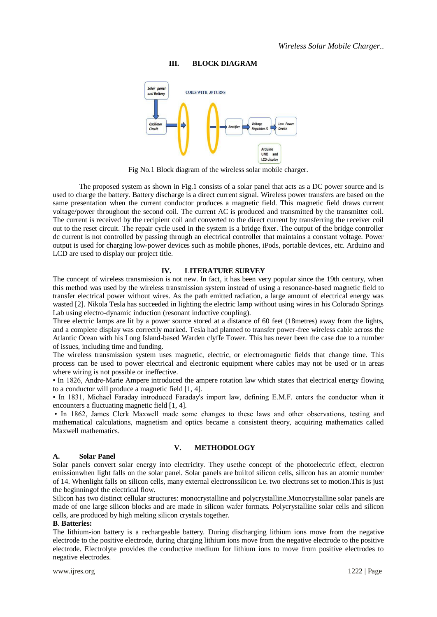## **III. BLOCK DIAGRAM**



Fig No.1 Block diagram of the wireless solar mobile charger.

The proposed system as shown in Fig.1 consists of a solar panel that acts as a DC power source and is used to charge the battery. Battery discharge is a direct current signal. Wireless power transfers are based on the same presentation when the current conductor produces a magnetic field. This magnetic field draws current voltage/power throughout the second coil. The current AC is produced and transmitted by the transmitter coil. The current is received by the recipient coil and converted to the direct current by transferring the receiver coil out to the reset circuit. The repair cycle used in the system is a bridge fixer. The output of the bridge controller dc current is not controlled by passing through an electrical controller that maintains a constant voltage. Power output is used for charging low-power devices such as mobile phones, iPods, portable devices, etc. Arduino and LCD are used to display our project title.

## **IV. LITERATURE SURVEY**

The concept of wireless transmission is not new. In fact, it has been very popular since the 19th century, when this method was used by the wireless transmission system instead of using a resonance-based magnetic field to transfer electrical power without wires. As the path emitted radiation, a large amount of electrical energy was wasted [2]. Nikola Tesla has succeeded in lighting the electric lamp without using wires in his Colorado Springs Lab using electro-dynamic induction (resonant inductive coupling).

Three electric lamps are lit by a power source stored at a distance of 60 feet (18metres) away from the lights, and a complete display was correctly marked. Tesla had planned to transfer power-free wireless cable across the Atlantic Ocean with his Long Island-based Warden clyffe Tower. This has never been the case due to a number of issues, including time and funding.

The wireless transmission system uses magnetic, electric, or electromagnetic fields that change time. This process can be used to power electrical and electronic equipment where cables may not be used or in areas where wiring is not possible or ineffective.

• In 1826, Andre-Marie Ampere introduced the ampere rotation law which states that electrical energy flowing to a conductor will produce a magnetic field [1, 4].

• In 1831, Michael Faraday introduced Faraday's import law, defining E.M.F. enters the conductor when it encounters a fluctuating magnetic field [1, 4].

• In 1862, James Clerk Maxwell made some changes to these laws and other observations, testing and mathematical calculations, magnetism and optics became a consistent theory, acquiring mathematics called Maxwell mathematics.

#### **A. Solar Panel**

## **V. METHODOLOGY**

Solar panels convert solar energy into electricity. They usethe concept of the photoelectric effect, electron emissionwhen light falls on the solar panel. Solar panels are builtof silicon cells, silicon has an atomic number of 14. Whenlight falls on silicon cells, many external electronssilicon i.e. two electrons set to motion.This is just the beginningof the electrical flow.

Silicon has two distinct cellular structures: monocrystalline and polycrystalline.Monocrystalline solar panels are made of one large silicon blocks and are made in silicon wafer formats. Polycrystalline solar cells and silicon cells, are produced by high melting silicon crystals together.

#### **B**. **Batteries:**

The lithium-ion battery is a rechargeable battery. During discharging lithium ions move from the negative electrode to the positive electrode, during charging lithium ions move from the negative electrode to the positive electrode. Electrolyte provides the conductive medium for lithium ions to move from positive electrodes to negative electrodes.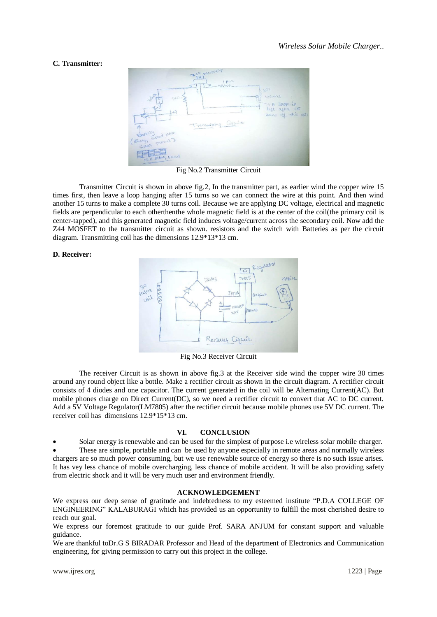## **C. Transmitter:**



Fig No.2 Transmitter Circuit

Transmitter Circuit is shown in above fig.2, In the transmitter part, as earlier wind the copper wire 15 times first, then leave a loop hanging after 15 turns so we can connect the wire at this point. And then wind another 15 turns to make a complete 30 turns coil. Because we are applying DC voltage, electrical and magnetic fields are perpendicular to each otherthenthe whole magnetic field is at the center of the coil(the primary coil is center-tapped), and this generated magnetic field induces voltage/current across the secondary coil. Now add the Z44 MOSFET to the transmitter circuit as shown. resistors and the switch with Batteries as per the circuit diagram. Transmitting coil has the dimensions 12.9\*13\*13 cm.

#### **D. Receiver:**



Fig No.3 Receiver Circuit

The receiver Circuit is as shown in above fig.3 at the Receiver side wind the copper wire 30 times around any round object like a bottle. Make a rectifier circuit as shown in the circuit diagram. A rectifier circuit consists of 4 diodes and one capacitor. The current generated in the coil will be Alternating Current(AC). But mobile phones charge on Direct Current(DC), so we need a rectifier circuit to convert that AC to DC current. Add a 5V Voltage Regulator(LM7805) after the rectifier circuit because mobile phones use 5V DC current. The receiver coil has dimensions 12.9\*15\*13 cm.

#### **VI. CONCLUSION**

Solar energy is renewable and can be used for the simplest of purpose i.e wireless solar mobile charger.

 These are simple, portable and can be used by anyone especially in remote areas and normally wireless chargers are so much power consuming, but we use renewable source of energy so there is no such issue arises. It has vey less chance of mobile overcharging, less chance of mobile accident. It will be also providing safety from electric shock and it will be very much user and environment friendly.

#### **ACKNOWLEDGEMENT**

We express our deep sense of gratitude and indebtedness to my esteemed institute "P.D.A COLLEGE OF ENGINEERING" KALABURAGI which has provided us an opportunity to fulfill the most cherished desire to reach our goal.

We express our foremost gratitude to our guide Prof. SARA ANJUM for constant support and valuable guidance.

We are thankful toDr.G S BIRADAR Professor and Head of the department of Electronics and Communication engineering, for giving permission to carry out this project in the college.